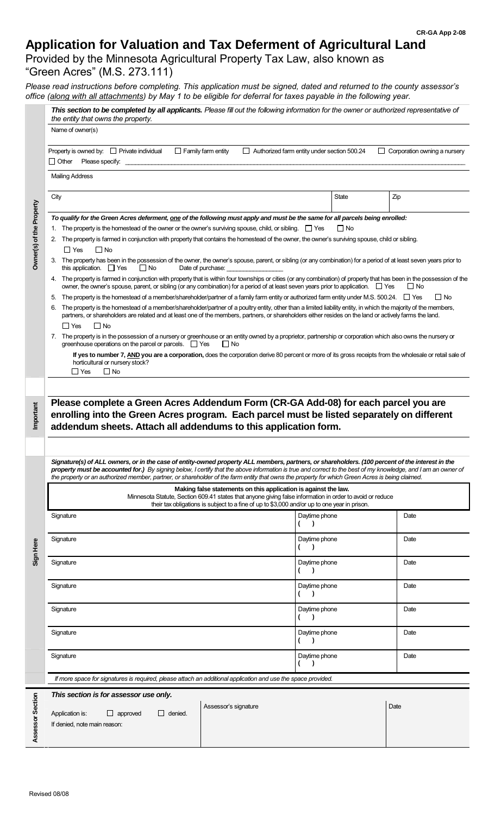# **Application for Valuation and Tax Deferment of Agricultural Land**

Provided by the Minnesota Agricultural Property Tax Law, also known as "Green Acres" (M.S. 273.111)

*Please read instructions before completing. This application must be signed, dated and returned to the county assessor's office (along with all attachments) by May 1 to be eligible for deferral for taxes payable in the following year.* 

|                          | This section to be completed by all applicants. Please fill out the following information for the owner or authorized representative of<br>the entity that owns the property.                                                                                                                                                                                                                                                                                                                                                |       |      |
|--------------------------|------------------------------------------------------------------------------------------------------------------------------------------------------------------------------------------------------------------------------------------------------------------------------------------------------------------------------------------------------------------------------------------------------------------------------------------------------------------------------------------------------------------------------|-------|------|
| Owner(s) of the Property | Name of owner(s)                                                                                                                                                                                                                                                                                                                                                                                                                                                                                                             |       |      |
|                          | Property is owned by: $\Box$ Private individual<br>$\Box$ Family farm entity<br>$\Box$ Authorized farm entity under section 500.24<br>$\Box$ Corporation owning a nursery                                                                                                                                                                                                                                                                                                                                                    |       |      |
|                          | $\Box$ Other Please specify:                                                                                                                                                                                                                                                                                                                                                                                                                                                                                                 |       |      |
|                          | <b>Mailing Address</b>                                                                                                                                                                                                                                                                                                                                                                                                                                                                                                       |       |      |
|                          | City                                                                                                                                                                                                                                                                                                                                                                                                                                                                                                                         | State | Zip  |
|                          | To qualify for the Green Acres deferment, one of the following must apply and must be the same for all parcels being enrolled:                                                                                                                                                                                                                                                                                                                                                                                               |       |      |
|                          | 1. The property is the homestead of the owner or the owner's surviving spouse, child, or sibling. $\Box$ Yes<br>$\Box$ No<br>2. The property is farmed in conjunction with property that contains the homestead of the owner, the owner's surviving spouse, child or sibling.<br>$\Box$ No<br>$\Box$ Yes                                                                                                                                                                                                                     |       |      |
|                          | 3. The property has been in the possession of the owner, the owner's spouse, parent, or sibling (or any combination) for a period of at least seven years prior to<br>this application. $\Box$ Yes<br>$\Box$ No<br>Date of purchase:                                                                                                                                                                                                                                                                                         |       |      |
|                          | 4. The property is farmed in conjunction with property that is within four townships or cities (or any combination) of property that has been in the possession of the<br>owner, the owner's spouse, parent, or sibling (or any combination) for a period of at least seven years prior to application. $\Box$ Yes<br>$\Box$ No                                                                                                                                                                                              |       |      |
|                          | $\Box$ No<br>5. The property is the homestead of a member/shareholder/partner of a family farm entity or authorized farm entity under M.S. 500.24. $\Box$ Yes<br>6. The property is the homestead of a member/shareholder/partner of a poultry entity, other than a limited liability entity, in which the majority of the members,<br>partners, or shareholders are related and at least one of the members, partners, or shareholders either resides on the land or actively farms the land.<br>$\Box$ Yes<br>$\square$ No |       |      |
|                          | 7. The property is in the possession of a nursery or greenhouse or an entity owned by a proprietor, partnership or corporation which also owns the nursery or<br>greenhouse operations on the parcel or parcels. $\Box$ Yes<br>$\Box$ No                                                                                                                                                                                                                                                                                     |       |      |
|                          | If yes to number 7, AND you are a corporation, does the corporation derive 80 percent or more of its gross receipts from the wholesale or retail sale of<br>horticultural or nursery stock?<br>$\Box$ No<br><b>N</b> Yes                                                                                                                                                                                                                                                                                                     |       |      |
|                          |                                                                                                                                                                                                                                                                                                                                                                                                                                                                                                                              |       |      |
|                          | Please complete a Green Acres Addendum Form (CR-GA Add-08) for each parcel you are                                                                                                                                                                                                                                                                                                                                                                                                                                           |       |      |
| Important                | enrolling into the Green Acres program. Each parcel must be listed separately on different<br>addendum sheets. Attach all addendums to this application form.                                                                                                                                                                                                                                                                                                                                                                |       |      |
|                          |                                                                                                                                                                                                                                                                                                                                                                                                                                                                                                                              |       |      |
| Sign Here                | Signature(s) of ALL owners, or in the case of entity-owned property ALL members, partners, or shareholders. (100 percent of the interest in the<br>property must be accounted for.) By signing below, I certify that the above information is true and correct to the best of my knowledge, and I am an owner of<br>the property or an authorized member, partner, or shareholder of the farm entity that owns the property for which Green Acres is being claimed.                                                          |       |      |
|                          | Making false statements on this application is against the law.<br>Minnesota Statute, Section 609.41 states that anyone giving false information in order to avoid or reduce<br>their tax obligations is subject to a fine of up to \$3,000 and/or up to one year in prison.                                                                                                                                                                                                                                                 |       |      |
|                          | Signature<br>Daytime phone<br>€<br>$\rightarrow$                                                                                                                                                                                                                                                                                                                                                                                                                                                                             |       | Date |
|                          | Signature<br>Daytime phone<br>(<br>$\lambda$                                                                                                                                                                                                                                                                                                                                                                                                                                                                                 |       | Date |
|                          | Signature<br>Daytime phone<br>$\lambda$                                                                                                                                                                                                                                                                                                                                                                                                                                                                                      |       | Date |
|                          | Signature<br>Daytime phone<br>$\sqrt{2}$<br>$\lambda$                                                                                                                                                                                                                                                                                                                                                                                                                                                                        |       | Date |
|                          | Daytime phone<br>Signature<br>$\lambda$                                                                                                                                                                                                                                                                                                                                                                                                                                                                                      |       | Date |
|                          | Signature<br>Daytime phone<br>€<br>$\rightarrow$                                                                                                                                                                                                                                                                                                                                                                                                                                                                             |       | Date |
|                          | Signature<br>Daytime phone<br>$\overline{ }$<br>$\lambda$                                                                                                                                                                                                                                                                                                                                                                                                                                                                    |       | Date |
|                          | If more space for signatures is required, please attach an additional application and use the space provided.                                                                                                                                                                                                                                                                                                                                                                                                                |       |      |
|                          | This section is for assessor use only.<br>Assessor's signature                                                                                                                                                                                                                                                                                                                                                                                                                                                               |       | Date |
| <b>Assessor Section</b>  | Application is:<br>$\Box$ approved<br>$\Box$ denied.<br>If denied, note main reason:                                                                                                                                                                                                                                                                                                                                                                                                                                         |       |      |